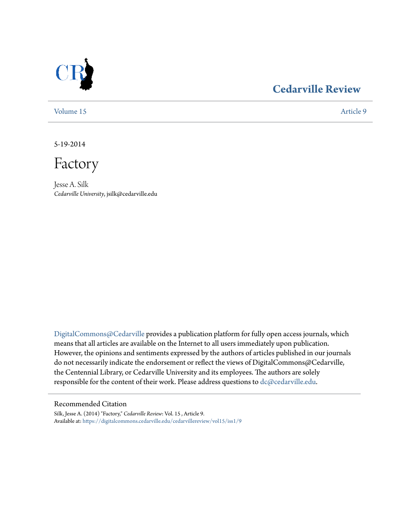

## **[Cedarville Review](https://digitalcommons.cedarville.edu/cedarvillereview?utm_source=digitalcommons.cedarville.edu%2Fcedarvillereview%2Fvol15%2Fiss1%2F9&utm_medium=PDF&utm_campaign=PDFCoverPages)**

[Volume 15](https://digitalcommons.cedarville.edu/cedarvillereview/vol15?utm_source=digitalcommons.cedarville.edu%2Fcedarvillereview%2Fvol15%2Fiss1%2F9&utm_medium=PDF&utm_campaign=PDFCoverPages) [Article 9](https://digitalcommons.cedarville.edu/cedarvillereview/vol15/iss1/9?utm_source=digitalcommons.cedarville.edu%2Fcedarvillereview%2Fvol15%2Fiss1%2F9&utm_medium=PDF&utm_campaign=PDFCoverPages)

5-19-2014

Factory

Jesse A. Silk *Cedarville University*, jsilk@cedarville.edu

[DigitalCommons@Cedarville](http://digitalcommons.cedarville.edu) provides a publication platform for fully open access journals, which means that all articles are available on the Internet to all users immediately upon publication. However, the opinions and sentiments expressed by the authors of articles published in our journals do not necessarily indicate the endorsement or reflect the views of DigitalCommons@Cedarville, the Centennial Library, or Cedarville University and its employees. The authors are solely responsible for the content of their work. Please address questions to [dc@cedarville.edu](mailto:dc@cedarville.edu).

#### Recommended Citation

Silk, Jesse A. (2014) "Factory," *Cedarville Review*: Vol. 15 , Article 9. Available at: [https://digitalcommons.cedarville.edu/cedarvillereview/vol15/iss1/9](https://digitalcommons.cedarville.edu/cedarvillereview/vol15/iss1/9?utm_source=digitalcommons.cedarville.edu%2Fcedarvillereview%2Fvol15%2Fiss1%2F9&utm_medium=PDF&utm_campaign=PDFCoverPages)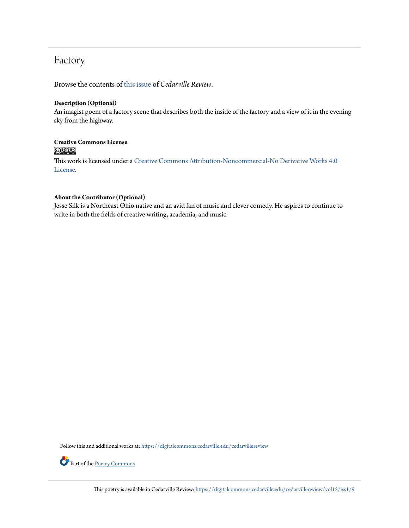## Factory

Browse the contents of [this issue](https://digitalcommons.cedarville.edu/cedarvillereview/vol15/iss1) of *Cedarville Review*.

#### **Description (Optional)**

An imagist poem of a factory scene that describes both the inside of the factory and a view of it in the evening sky from the highway.

# **Creative Commons License**<br> **@ 089**

This work is licensed under a [Creative Commons Attribution-Noncommercial-No Derivative Works 4.0](http://creativecommons.org/licenses/by-nc-nd/4.0/) [License.](http://creativecommons.org/licenses/by-nc-nd/4.0/)

#### **About the Contributor (Optional)**

Jesse Silk is a Northeast Ohio native and an avid fan of music and clever comedy. He aspires to continue to write in both the fields of creative writing, academia, and music.

Follow this and additional works at: [https://digitalcommons.cedarville.edu/cedarvillereview](https://digitalcommons.cedarville.edu/cedarvillereview?utm_source=digitalcommons.cedarville.edu%2Fcedarvillereview%2Fvol15%2Fiss1%2F9&utm_medium=PDF&utm_campaign=PDFCoverPages)



Part of the [Poetry Commons](http://network.bepress.com/hgg/discipline/1153?utm_source=digitalcommons.cedarville.edu%2Fcedarvillereview%2Fvol15%2Fiss1%2F9&utm_medium=PDF&utm_campaign=PDFCoverPages)